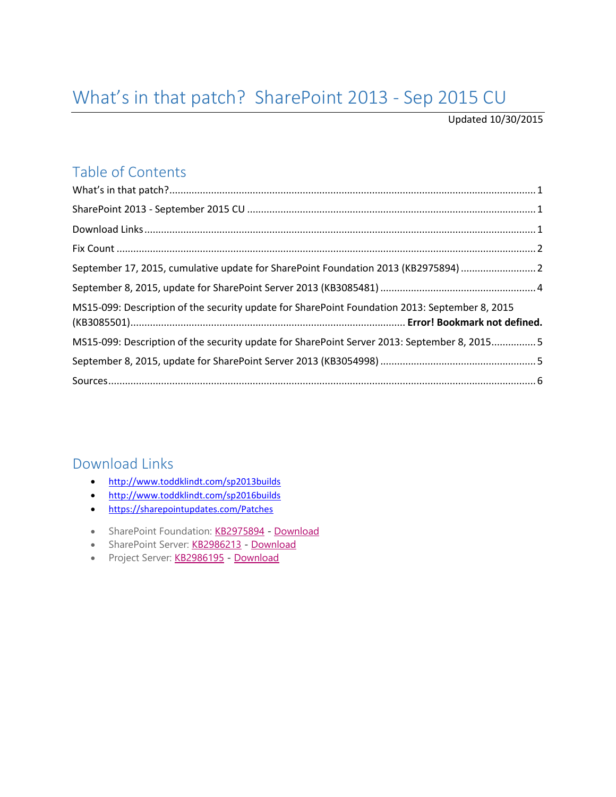# <span id="page-0-1"></span><span id="page-0-0"></span>What's in that patch? SharePoint 2013 - Sep 2015 CU

Updated 10/30/2015

### Table of Contents

| September 17, 2015, cumulative update for SharePoint Foundation 2013 (KB2975894)  2            |  |
|------------------------------------------------------------------------------------------------|--|
|                                                                                                |  |
| MS15-099: Description of the security update for SharePoint Foundation 2013: September 8, 2015 |  |
| MS15-099: Description of the security update for SharePoint Server 2013: September 8, 20155    |  |
|                                                                                                |  |
|                                                                                                |  |

#### <span id="page-0-2"></span>Download Links

- <http://www.toddklindt.com/sp2013builds>
- <http://www.toddklindt.com/sp2016builds>
- <https://sharepointupdates.com/Patches>
- SharePoint Foundation: [KB2975894](http://support.microsoft.com/en-us/KB/2975894) [Download](http://www.microsoft.com/en-us/download/details.aspx?id=49097)
- SharePoint Server: [KB2986213](http://support.microsoft.com/en-us/KB/2986213) [Download](http://www.microsoft.com/en-us/download/details.aspx?id=49098)
- Project Server: [KB2986195](http://support.microsoft.com/en-us/KB/2986195) [Download](http://www.microsoft.com/en-us/download/details.aspx?id=49099)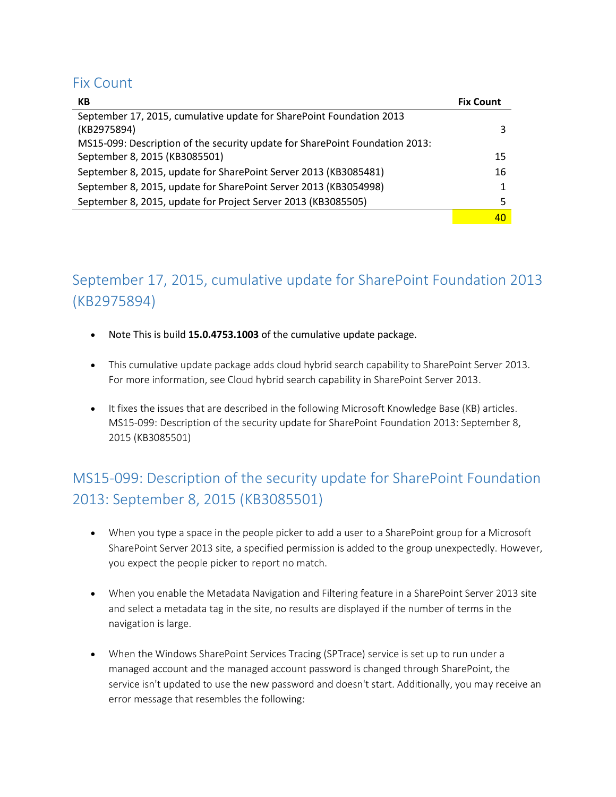#### <span id="page-1-0"></span>Fix Count

| КB                                                                           | <b>Fix Count</b> |
|------------------------------------------------------------------------------|------------------|
| September 17, 2015, cumulative update for SharePoint Foundation 2013         |                  |
| (KB2975894)                                                                  |                  |
| MS15-099: Description of the security update for SharePoint Foundation 2013: |                  |
| September 8, 2015 (KB3085501)                                                | 15               |
| September 8, 2015, update for SharePoint Server 2013 (KB3085481)             | 16               |
| September 8, 2015, update for SharePoint Server 2013 (KB3054998)             |                  |
| September 8, 2015, update for Project Server 2013 (KB3085505)                |                  |
|                                                                              | 40               |

## <span id="page-1-1"></span>September 17, 2015, cumulative update for SharePoint Foundation 2013 (KB2975894)

- Note This is build **15.0.4753.1003** of the cumulative update package.
- This cumulative update package adds cloud hybrid search capability to SharePoint Server 2013. For more information, see Cloud hybrid search capability in SharePoint Server 2013.
- It fixes the issues that are described in the following Microsoft Knowledge Base (KB) articles. MS15-099: Description of the security update for SharePoint Foundation 2013: September 8, 2015 (KB3085501)

## MS15-099: Description of the security update for SharePoint Foundation 2013: September 8, 2015 (KB3085501)

- When you type a space in the people picker to add a user to a SharePoint group for a Microsoft SharePoint Server 2013 site, a specified permission is added to the group unexpectedly. However, you expect the people picker to report no match.
- When you enable the Metadata Navigation and Filtering feature in a SharePoint Server 2013 site and select a metadata tag in the site, no results are displayed if the number of terms in the navigation is large.
- When the Windows SharePoint Services Tracing (SPTrace) service is set up to run under a managed account and the managed account password is changed through SharePoint, the service isn't updated to use the new password and doesn't start. Additionally, you may receive an error message that resembles the following: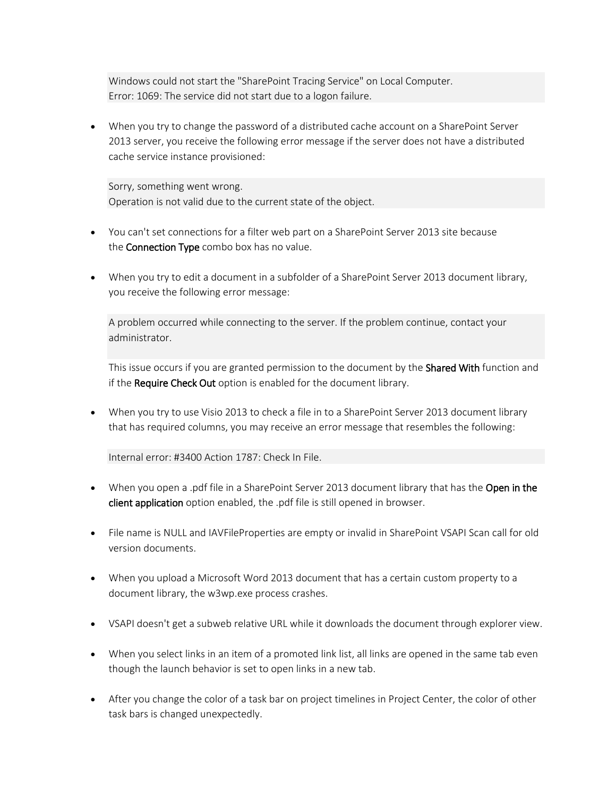Windows could not start the "SharePoint Tracing Service" on Local Computer. Error: 1069: The service did not start due to a logon failure.

 When you try to change the password of a distributed cache account on a SharePoint Server 2013 server, you receive the following error message if the server does not have a distributed cache service instance provisioned:

Sorry, something went wrong. Operation is not valid due to the current state of the object.

- You can't set connections for a filter web part on a SharePoint Server 2013 site because the **Connection Type** combo box has no value.
- When you try to edit a document in a subfolder of a SharePoint Server 2013 document library, you receive the following error message:

A problem occurred while connecting to the server. If the problem continue, contact your administrator.

This issue occurs if you are granted permission to the document by the Shared With function and if the Require Check Out option is enabled for the document library.

 When you try to use Visio 2013 to check a file in to a SharePoint Server 2013 document library that has required columns, you may receive an error message that resembles the following:

Internal error: #3400 Action 1787: Check In File.

- When you open a .pdf file in a SharePoint Server 2013 document library that has the Open in the client application option enabled, the .pdf file is still opened in browser.
- File name is NULL and IAVFileProperties are empty or invalid in SharePoint VSAPI Scan call for old version documents.
- When you upload a Microsoft Word 2013 document that has a certain custom property to a document library, the w3wp.exe process crashes.
- VSAPI doesn't get a subweb relative URL while it downloads the document through explorer view.
- When you select links in an item of a promoted link list, all links are opened in the same tab even though the launch behavior is set to open links in a new tab.
- After you change the color of a task bar on project timelines in Project Center, the color of other task bars is changed unexpectedly.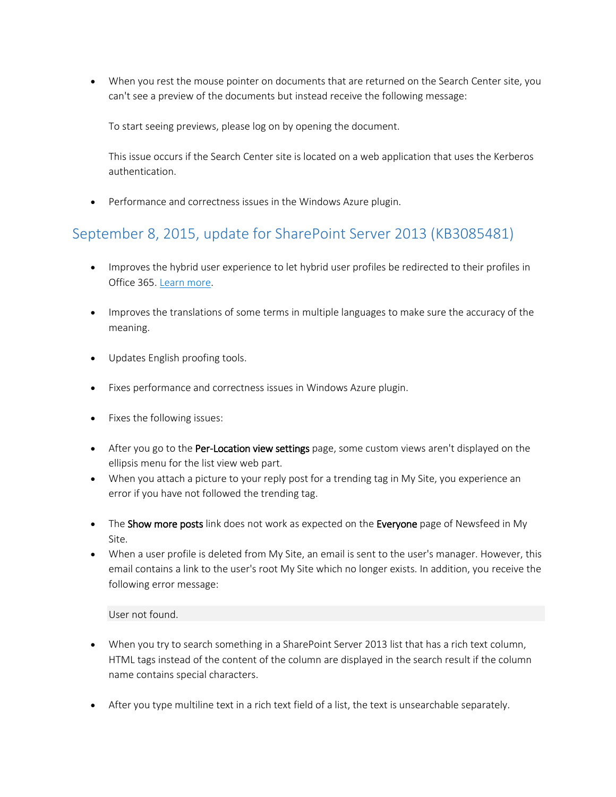When you rest the mouse pointer on documents that are returned on the Search Center site, you can't see a preview of the documents but instead receive the following message:

To start seeing previews, please log on by opening the document.

This issue occurs if the Search Center site is located on a web application that uses the Kerberos authentication.

• Performance and correctness issues in the Windows Azure plugin.

#### <span id="page-3-0"></span>September 8, 2015, update for SharePoint Server 2013 (KB3085481)

- Improves the hybrid user experience to let hybrid user profiles be redirected to their profiles in Office 365. [Learn more.](http://go.microsoft.com/fwlink/?LinkID=613713)
- Improves the translations of some terms in multiple languages to make sure the accuracy of the meaning.
- Updates English proofing tools.
- Fixes performance and correctness issues in Windows Azure plugin.
- Fixes the following issues:
- After you go to the Per-Location view settings page, some custom views aren't displayed on the ellipsis menu for the list view web part.
- When you attach a picture to your reply post for a trending tag in My Site, you experience an error if you have not followed the trending tag.
- The Show more posts link does not work as expected on the Everyone page of Newsfeed in My Site.
- When a user profile is deleted from My Site, an email is sent to the user's manager. However, this email contains a link to the user's root My Site which no longer exists. In addition, you receive the following error message:

User not found.

- When you try to search something in a SharePoint Server 2013 list that has a rich text column, HTML tags instead of the content of the column are displayed in the search result if the column name contains special characters.
- After you type multiline text in a rich text field of a list, the text is unsearchable separately.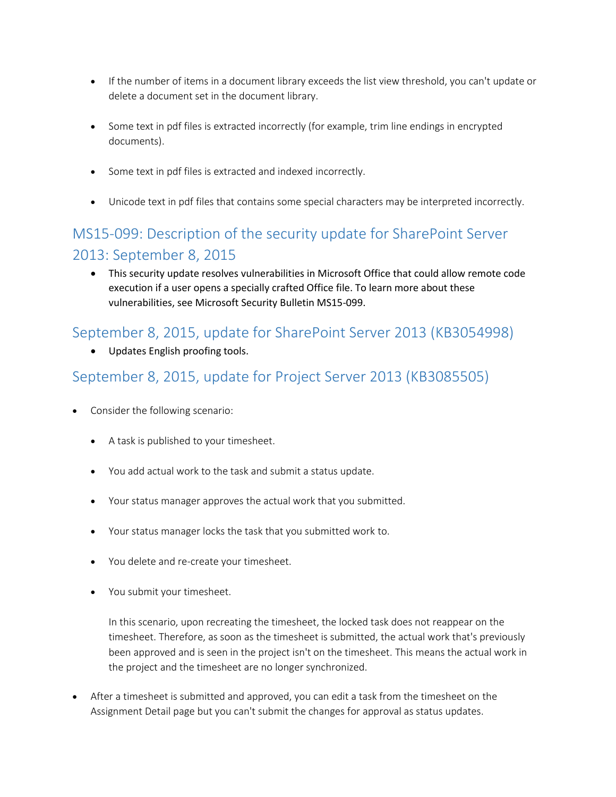- If the number of items in a document library exceeds the list view threshold, you can't update or delete a document set in the document library.
- Some text in pdf files is extracted incorrectly (for example, trim line endings in encrypted documents).
- Some text in pdf files is extracted and indexed incorrectly.
- Unicode text in pdf files that contains some special characters may be interpreted incorrectly.

## <span id="page-4-0"></span>MS15-099: Description of the security update for SharePoint Server 2013: September 8, 2015

 This security update resolves vulnerabilities in Microsoft Office that could allow remote code execution if a user opens a specially crafted Office file. To learn more about these vulnerabilities, see Microsoft Security Bulletin MS15-099.

#### <span id="page-4-1"></span>September 8, 2015, update for SharePoint Server 2013 (KB3054998)

Updates English proofing tools.

#### September 8, 2015, update for Project Server 2013 (KB3085505)

- Consider the following scenario:
	- A task is published to your timesheet.
	- You add actual work to the task and submit a status update.
	- Your status manager approves the actual work that you submitted.
	- Your status manager locks the task that you submitted work to.
	- You delete and re-create your timesheet.
	- You submit your timesheet.

In this scenario, upon recreating the timesheet, the locked task does not reappear on the timesheet. Therefore, as soon as the timesheet is submitted, the actual work that's previously been approved and is seen in the project isn't on the timesheet. This means the actual work in the project and the timesheet are no longer synchronized.

 After a timesheet is submitted and approved, you can edit a task from the timesheet on the Assignment Detail page but you can't submit the changes for approval as status updates.